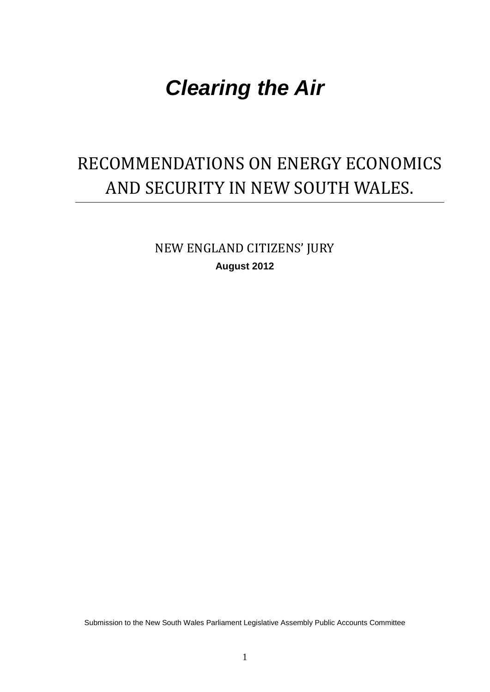# *Clearing the Air*

# RECOMMENDATIONS ON ENERGY ECONOMICS AND SECURITY IN NEW SOUTH WALES.

NEW ENGLAND CITIZENS' JURY **August 2012**

Submission to the New South Wales Parliament Legislative Assembly Public Accounts Committee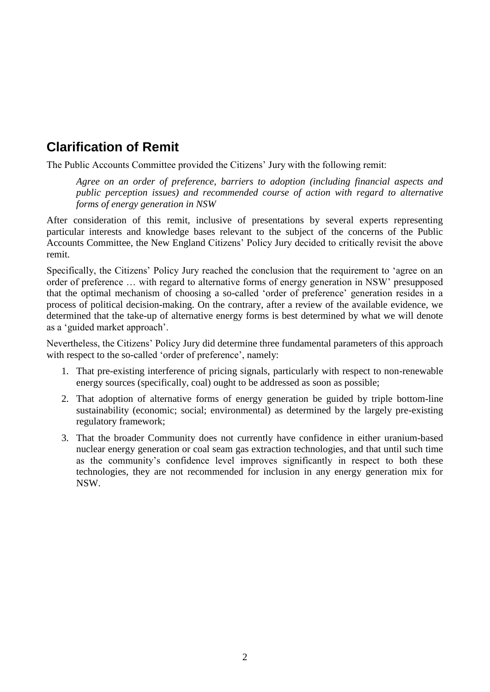## **Clarification of Remit**

The Public Accounts Committee provided the Citizens' Jury with the following remit:

*Agree on an order of preference, barriers to adoption (including financial aspects and public perception issues) and recommended course of action with regard to alternative forms of energy generation in NSW*

After consideration of this remit, inclusive of presentations by several experts representing particular interests and knowledge bases relevant to the subject of the concerns of the Public Accounts Committee, the New England Citizens' Policy Jury decided to critically revisit the above remit.

Specifically, the Citizens' Policy Jury reached the conclusion that the requirement to 'agree on an order of preference … with regard to alternative forms of energy generation in NSW' presupposed that the optimal mechanism of choosing a so-called 'order of preference' generation resides in a process of political decision-making. On the contrary, after a review of the available evidence, we determined that the take-up of alternative energy forms is best determined by what we will denote as a 'guided market approach'.

Nevertheless, the Citizens' Policy Jury did determine three fundamental parameters of this approach with respect to the so-called 'order of preference', namely:

- 1. That pre-existing interference of pricing signals, particularly with respect to non-renewable energy sources (specifically, coal) ought to be addressed as soon as possible;
- 2. That adoption of alternative forms of energy generation be guided by triple bottom-line sustainability (economic; social; environmental) as determined by the largely pre-existing regulatory framework;
- 3. That the broader Community does not currently have confidence in either uranium-based nuclear energy generation or coal seam gas extraction technologies, and that until such time as the community's confidence level improves significantly in respect to both these technologies, they are not recommended for inclusion in any energy generation mix for NSW.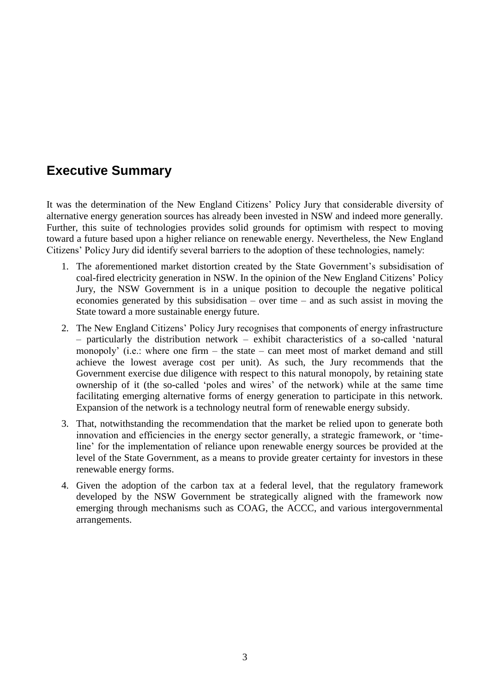## **Executive Summary**

It was the determination of the New England Citizens' Policy Jury that considerable diversity of alternative energy generation sources has already been invested in NSW and indeed more generally. Further, this suite of technologies provides solid grounds for optimism with respect to moving toward a future based upon a higher reliance on renewable energy. Nevertheless, the New England Citizens' Policy Jury did identify several barriers to the adoption of these technologies, namely:

- 1. The aforementioned market distortion created by the State Government's subsidisation of coal-fired electricity generation in NSW. In the opinion of the New England Citizens' Policy Jury, the NSW Government is in a unique position to decouple the negative political economies generated by this subsidisation – over time – and as such assist in moving the State toward a more sustainable energy future.
- 2. The New England Citizens' Policy Jury recognises that components of energy infrastructure – particularly the distribution network – exhibit characteristics of a so-called 'natural monopoly' (i.e.: where one firm  $-$  the state  $-$  can meet most of market demand and still achieve the lowest average cost per unit). As such, the Jury recommends that the Government exercise due diligence with respect to this natural monopoly, by retaining state ownership of it (the so-called 'poles and wires' of the network) while at the same time facilitating emerging alternative forms of energy generation to participate in this network. Expansion of the network is a technology neutral form of renewable energy subsidy.
- 3. That, notwithstanding the recommendation that the market be relied upon to generate both innovation and efficiencies in the energy sector generally, a strategic framework, or 'timeline' for the implementation of reliance upon renewable energy sources be provided at the level of the State Government, as a means to provide greater certainty for investors in these renewable energy forms.
- 4. Given the adoption of the carbon tax at a federal level, that the regulatory framework developed by the NSW Government be strategically aligned with the framework now emerging through mechanisms such as COAG, the ACCC, and various intergovernmental arrangements.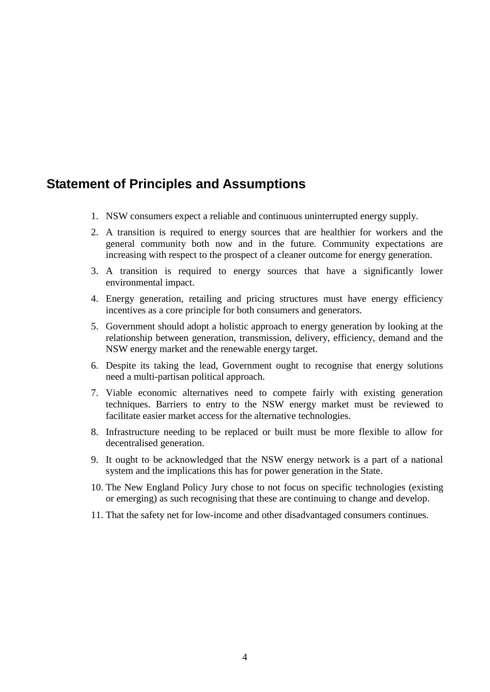## **Statement of Principles and Assumptions**

- 1. NSW consumers expect a reliable and continuous uninterrupted energy supply.
- 2. A transition is required to energy sources that are healthier for workers and the general community both now and in the future. Community expectations are increasing with respect to the prospect of a cleaner outcome for energy generation.
- 3. A transition is required to energy sources that have a significantly lower environmental impact.
- 4. Energy generation, retailing and pricing structures must have energy efficiency incentives as a core principle for both consumers and generators.
- 5. Government should adopt a holistic approach to energy generation by looking at the relationship between generation, transmission, delivery, efficiency, demand and the NSW energy market and the renewable energy target.
- 6. Despite its taking the lead, Government ought to recognise that energy solutions need a multi-partisan political approach.
- 7. Viable economic alternatives need to compete fairly with existing generation techniques. Barriers to entry to the NSW energy market must be reviewed to facilitate easier market access for the alternative technologies.
- 8. Infrastructure needing to be replaced or built must be more flexible to allow for decentralised generation.
- 9. It ought to be acknowledged that the NSW energy network is a part of a national system and the implications this has for power generation in the State.
- 10. The New England Policy Jury chose to not focus on specific technologies (existing or emerging) as such recognising that these are continuing to change and develop.
- 11. That the safety net for low-income and other disadvantaged consumers continues.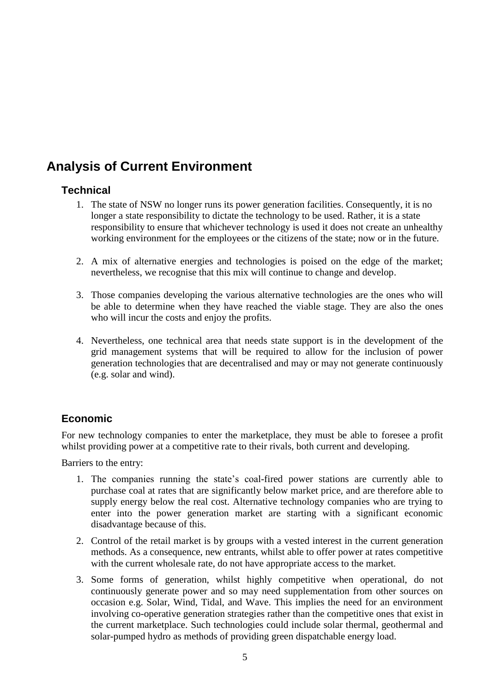## **Analysis of Current Environment**

#### **Technical**

- 1. The state of NSW no longer runs its power generation facilities. Consequently, it is no longer a state responsibility to dictate the technology to be used. Rather, it is a state responsibility to ensure that whichever technology is used it does not create an unhealthy working environment for the employees or the citizens of the state; now or in the future.
- 2. A mix of alternative energies and technologies is poised on the edge of the market; nevertheless, we recognise that this mix will continue to change and develop.
- 3. Those companies developing the various alternative technologies are the ones who will be able to determine when they have reached the viable stage. They are also the ones who will incur the costs and enjoy the profits.
- 4. Nevertheless, one technical area that needs state support is in the development of the grid management systems that will be required to allow for the inclusion of power generation technologies that are decentralised and may or may not generate continuously (e.g. solar and wind).

#### **Economic**

For new technology companies to enter the marketplace, they must be able to foresee a profit whilst providing power at a competitive rate to their rivals, both current and developing.

Barriers to the entry:

- 1. The companies running the state's coal-fired power stations are currently able to purchase coal at rates that are significantly below market price, and are therefore able to supply energy below the real cost. Alternative technology companies who are trying to enter into the power generation market are starting with a significant economic disadvantage because of this.
- 2. Control of the retail market is by groups with a vested interest in the current generation methods. As a consequence, new entrants, whilst able to offer power at rates competitive with the current wholesale rate, do not have appropriate access to the market.
- 3. Some forms of generation, whilst highly competitive when operational, do not continuously generate power and so may need supplementation from other sources on occasion e.g. Solar, Wind, Tidal, and Wave. This implies the need for an environment involving co-operative generation strategies rather than the competitive ones that exist in the current marketplace. Such technologies could include solar thermal, geothermal and solar-pumped hydro as methods of providing green dispatchable energy load.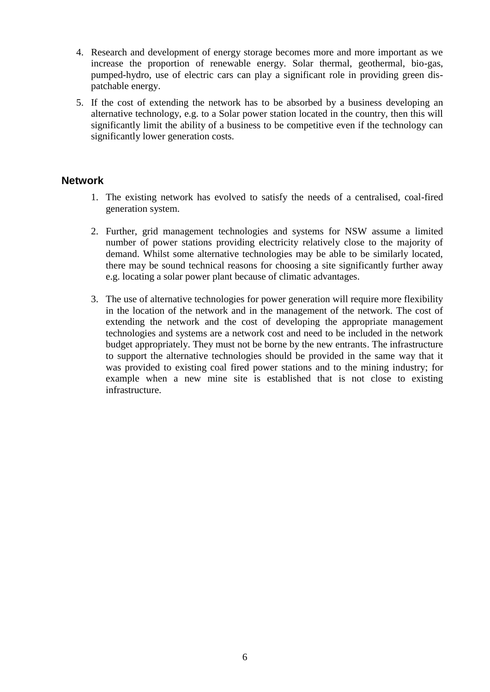- 4. Research and development of energy storage becomes more and more important as we increase the proportion of renewable energy. Solar thermal, geothermal, bio-gas, pumped-hydro, use of electric cars can play a significant role in providing green dispatchable energy.
- 5. If the cost of extending the network has to be absorbed by a business developing an alternative technology, e.g. to a Solar power station located in the country, then this will significantly limit the ability of a business to be competitive even if the technology can significantly lower generation costs.

#### **Network**

- 1. The existing network has evolved to satisfy the needs of a centralised, coal-fired generation system.
- 2. Further, grid management technologies and systems for NSW assume a limited number of power stations providing electricity relatively close to the majority of demand. Whilst some alternative technologies may be able to be similarly located, there may be sound technical reasons for choosing a site significantly further away e.g. locating a solar power plant because of climatic advantages.
- 3. The use of alternative technologies for power generation will require more flexibility in the location of the network and in the management of the network. The cost of extending the network and the cost of developing the appropriate management technologies and systems are a network cost and need to be included in the network budget appropriately. They must not be borne by the new entrants. The infrastructure to support the alternative technologies should be provided in the same way that it was provided to existing coal fired power stations and to the mining industry; for example when a new mine site is established that is not close to existing infrastructure.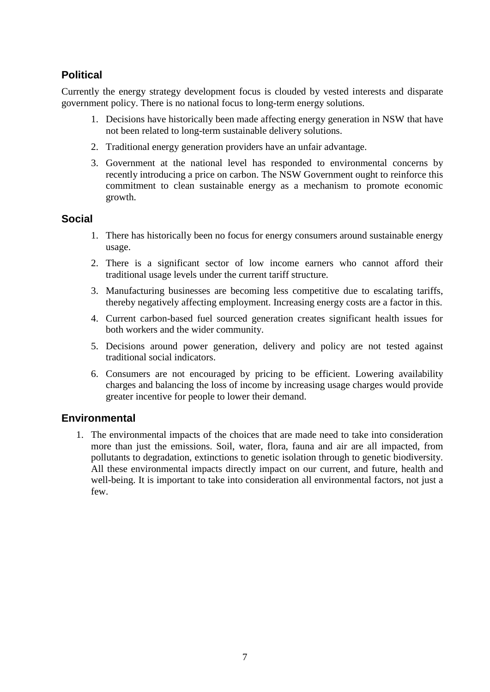#### **Political**

Currently the energy strategy development focus is clouded by vested interests and disparate government policy. There is no national focus to long-term energy solutions.

- 1. Decisions have historically been made affecting energy generation in NSW that have not been related to long-term sustainable delivery solutions.
- 2. Traditional energy generation providers have an unfair advantage.
- 3. Government at the national level has responded to environmental concerns by recently introducing a price on carbon. The NSW Government ought to reinforce this commitment to clean sustainable energy as a mechanism to promote economic growth.

#### **Social**

- 1. There has historically been no focus for energy consumers around sustainable energy usage.
- 2. There is a significant sector of low income earners who cannot afford their traditional usage levels under the current tariff structure.
- 3. Manufacturing businesses are becoming less competitive due to escalating tariffs, thereby negatively affecting employment. Increasing energy costs are a factor in this.
- 4. Current carbon-based fuel sourced generation creates significant health issues for both workers and the wider community.
- 5. Decisions around power generation, delivery and policy are not tested against traditional social indicators.
- 6. Consumers are not encouraged by pricing to be efficient. Lowering availability charges and balancing the loss of income by increasing usage charges would provide greater incentive for people to lower their demand.

#### **Environmental**

1. The environmental impacts of the choices that are made need to take into consideration more than just the emissions. Soil, water, flora, fauna and air are all impacted, from pollutants to degradation, extinctions to genetic isolation through to genetic biodiversity. All these environmental impacts directly impact on our current, and future, health and well-being. It is important to take into consideration all environmental factors, not just a few.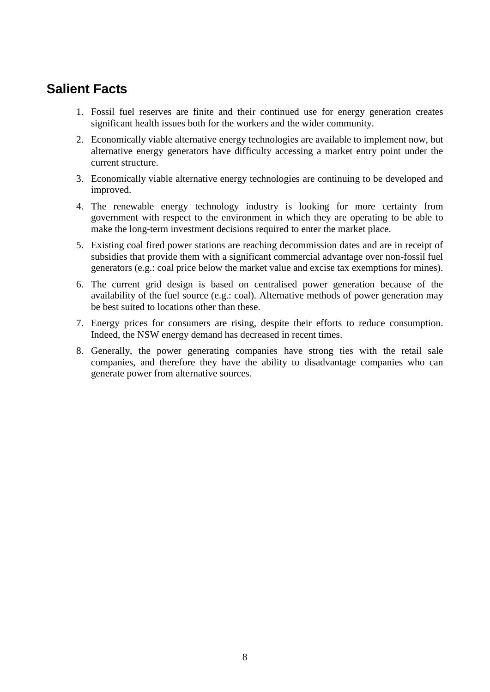### **Salient Facts**

- 1. Fossil fuel reserves are finite and their continued use for energy generation creates significant health issues both for the workers and the wider community.
- 2. Economically viable alternative energy technologies are available to implement now, but alternative energy generators have difficulty accessing a market entry point under the current structure.
- 3. Economically viable alternative energy technologies are continuing to be developed and improved.
- 4. The renewable energy technology industry is looking for more certainty from government with respect to the environment in which they are operating to be able to make the long-term investment decisions required to enter the market place.
- 5. Existing coal fired power stations are reaching decommission dates and are in receipt of subsidies that provide them with a significant commercial advantage over non-fossil fuel generators (e.g.: coal price below the market value and excise tax exemptions for mines).
- 6. The current grid design is based on centralised power generation because of the availability of the fuel source (e.g.: coal). Alternative methods of power generation may be best suited to locations other than these.
- 7. Energy prices for consumers are rising, despite their efforts to reduce consumption. Indeed, the NSW energy demand has decreased in recent times.
- 8. Generally, the power generating companies have strong ties with the retail sale companies, and therefore they have the ability to disadvantage companies who can generate power from alternative sources.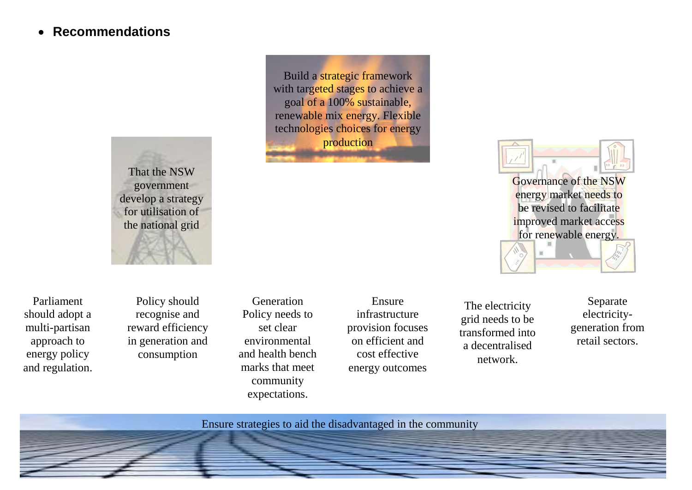## **Recommendations**



Build a strategic framework with targeted stages to achieve a goal of a 100% sustainable, renewable mix energy. Flexible technologies choices for energy production



Policy should recognise and reward efficiency in generation and consumption

Generation Policy needs to set clear environmental and health bench marks that meet community expectations.

Ensure infrastructure provision focuses on efficient and cost effective energy outcomes

The electricity grid needs to be transformed into a decentralised network.

Separate electricitygeneration from retail sectors.

Governance of the NSW energy market needs to be revised to facilitate improved market access for renewable energy.

Ensure strategies to aid the disadvantaged in the community

9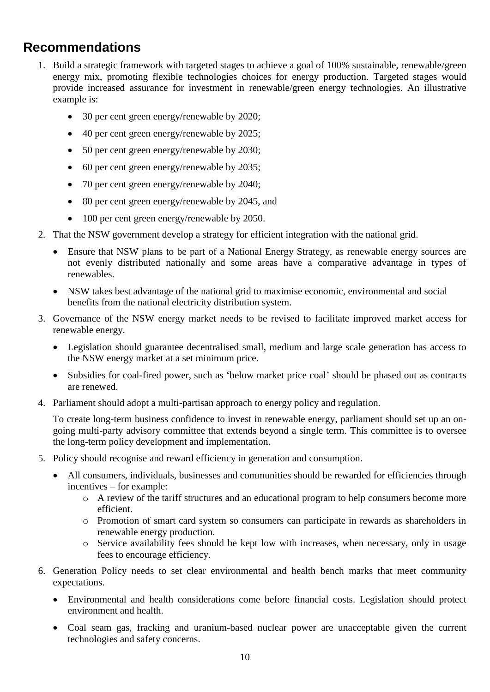## **Recommendations**

- 1. Build a strategic framework with targeted stages to achieve a goal of 100% sustainable, renewable/green energy mix, promoting flexible technologies choices for energy production. Targeted stages would provide increased assurance for investment in renewable/green energy technologies. An illustrative example is:
	- 30 per cent green energy/renewable by 2020;
	- 40 per cent green energy/renewable by 2025;
	- 50 per cent green energy/renewable by 2030;
	- 60 per cent green energy/renewable by 2035;
	- 70 per cent green energy/renewable by 2040;
	- 80 per cent green energy/renewable by 2045, and
	- 100 per cent green energy/renewable by 2050.
- 2. That the NSW government develop a strategy for efficient integration with the national grid.
	- Ensure that NSW plans to be part of a National Energy Strategy, as renewable energy sources are not evenly distributed nationally and some areas have a comparative advantage in types of renewables.
	- NSW takes best advantage of the national grid to maximise economic, environmental and social benefits from the national electricity distribution system.
- 3. Governance of the NSW energy market needs to be revised to facilitate improved market access for renewable energy.
	- Legislation should guarantee decentralised small, medium and large scale generation has access to the NSW energy market at a set minimum price.
	- Subsidies for coal-fired power, such as 'below market price coal' should be phased out as contracts are renewed.
- 4. Parliament should adopt a multi-partisan approach to energy policy and regulation.

To create long-term business confidence to invest in renewable energy, parliament should set up an ongoing multi-party advisory committee that extends beyond a single term. This committee is to oversee the long-term policy development and implementation.

- 5. Policy should recognise and reward efficiency in generation and consumption.
	- All consumers, individuals, businesses and communities should be rewarded for efficiencies through incentives – for example:
		- o A review of the tariff structures and an educational program to help consumers become more efficient.
		- o Promotion of smart card system so consumers can participate in rewards as shareholders in renewable energy production.
		- o Service availability fees should be kept low with increases, when necessary, only in usage fees to encourage efficiency.
- 6. Generation Policy needs to set clear environmental and health bench marks that meet community expectations.
	- Environmental and health considerations come before financial costs. Legislation should protect environment and health.
	- Coal seam gas, fracking and uranium-based nuclear power are unacceptable given the current technologies and safety concerns.